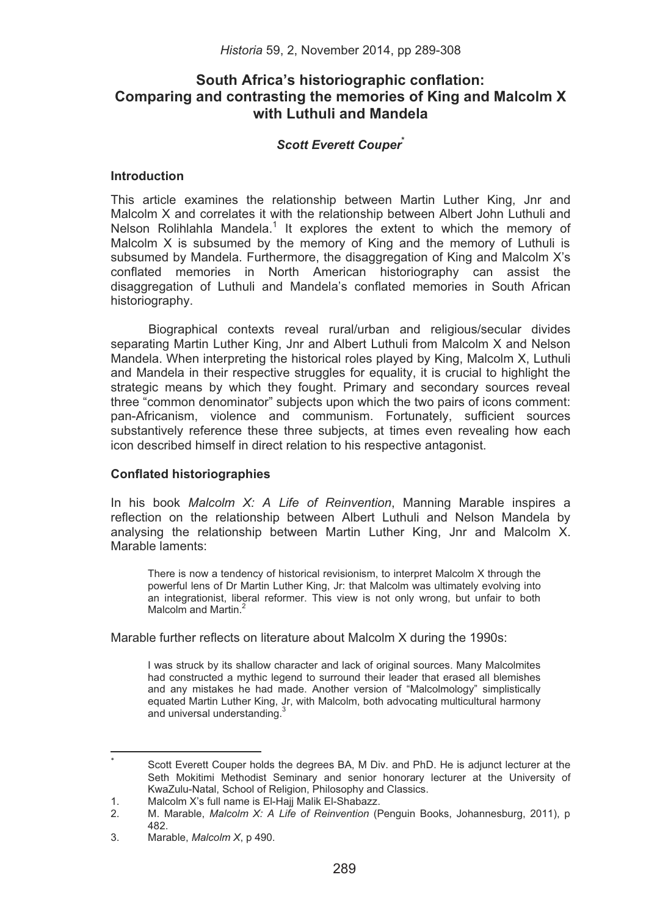# **South Africa's historiographic conflation: Comparing and contrasting the memories of King and Malcolm X with Luthuli and Mandela**

# *Scott Everett Couper***\***

# **Introduction**

This article examines the relationship between Martin Luther King, Jnr and Malcolm X and correlates it with the relationship between Albert John Luthuli and Nelson Rolihlahla Mandela.<sup>1</sup> It explores the extent to which the memory of Malcolm X is subsumed by the memory of King and the memory of Luthuli is subsumed by Mandela. Furthermore, the disaggregation of King and Malcolm X's conflated memories in North American historiography can assist the disaggregation of Luthuli and Mandela's conflated memories in South African historiography.

Biographical contexts reveal rural/urban and religious/secular divides separating Martin Luther King, Jnr and Albert Luthuli from Malcolm X and Nelson Mandela. When interpreting the historical roles played by King, Malcolm X, Luthuli and Mandela in their respective struggles for equality, it is crucial to highlight the strategic means by which they fought. Primary and secondary sources reveal three "common denominator" subjects upon which the two pairs of icons comment: pan-Africanism, violence and communism. Fortunately, sufficient sources substantively reference these three subjects, at times even revealing how each icon described himself in direct relation to his respective antagonist.

## **Conflated historiographies**

In his book *Malcolm X: A Life of Reinvention*, Manning Marable inspires a reflection on the relationship between Albert Luthuli and Nelson Mandela by analysing the relationship between Martin Luther King, Jnr and Malcolm X. Marable laments:

There is now a tendency of historical revisionism, to interpret Malcolm X through the powerful lens of Dr Martin Luther King, Jr: that Malcolm was ultimately evolving into an integrationist, liberal reformer. This view is not only wrong, but unfair to both Malcolm and Martin<sup>2</sup>

Marable further reflects on literature about Malcolm X during the 1990s:

I was struck by its shallow character and lack of original sources. Many Malcolmites had constructed a mythic legend to surround their leader that erased all blemishes and any mistakes he had made. Another version of "Malcolmology" simplistically equated Martin Luther King, Jr, with Malcolm, both advocating multicultural harmony and universal understanding.<sup>3</sup>

������������������������������������������������������������

<sup>\*</sup> �� Scott Everett Couper holds the degrees BA, M Div. and PhD. He is adjunct lecturer at the Seth Mokitimi Methodist Seminary and senior honorary lecturer at the University of KwaZulu-Natal, School of Religion, Philosophy and Classics.

<sup>1.</sup> Malcolm X's full name is El-Hajj Malik El-Shabazz.<br>2. M. Marable, Malcolm X: A Life of Reinvention (E.

<sup>2.</sup> M. Marable, *Malcolm X: A Life of Reinvention* (Penguin Books, Johannesburg, 2011), p 482.

<sup>3.</sup> Marable, *Malcolm X*, p 490.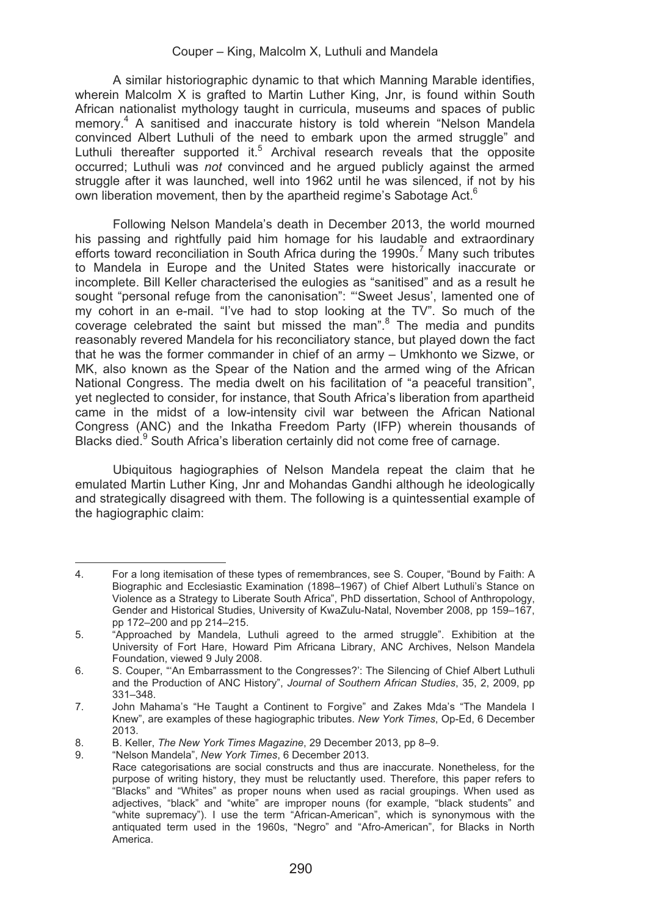A similar historiographic dynamic to that which Manning Marable identifies, wherein Malcolm X is grafted to Martin Luther King, Jnr, is found within South African nationalist mythology taught in curricula, museums and spaces of public memory.4 A sanitised and inaccurate history is told wherein "Nelson Mandela convinced Albert Luthuli of the need to embark upon the armed struggle" and Luthuli thereafter supported it.<sup>5</sup> Archival research reveals that the opposite occurred; Luthuli was *not* convinced and he argued publicly against the armed struggle after it was launched, well into 1962 until he was silenced, if not by his own liberation movement, then by the apartheid regime's Sabotage Act.<sup>6</sup>

Following Nelson Mandela's death in December 2013, the world mourned his passing and rightfully paid him homage for his laudable and extraordinary efforts toward reconciliation in South Africa during the 1990s.<sup>7</sup> Many such tributes to Mandela in Europe and the United States were historically inaccurate or incomplete. Bill Keller characterised the eulogies as "sanitised" and as a result he sought "personal refuge from the canonisation": "'Sweet Jesus', lamented one of my cohort in an e-mail. "I've had to stop looking at the TV". So much of the coverage celebrated the saint but missed the man".<sup>8</sup> The media and pundits reasonably revered Mandela for his reconciliatory stance, but played down the fact that he was the former commander in chief of an army – Umkhonto we Sizwe, or MK, also known as the Spear of the Nation and the armed wing of the African National Congress. The media dwelt on his facilitation of "a peaceful transition", yet neglected to consider, for instance, that South Africa's liberation from apartheid came in the midst of a low-intensity civil war between the African National Congress (ANC) and the Inkatha Freedom Party (IFP) wherein thousands of Blacks died.<sup>9</sup> South Africa's liberation certainly did not come free of carnage.

Ubiquitous hagiographies of Nelson Mandela repeat the claim that he emulated Martin Luther King, Jnr and Mohandas Gandhi although he ideologically and strategically disagreed with them. The following is a quintessential example of the hagiographic claim:

<sup>&</sup>lt;u> 1989 - Johann Stein, mars an t-Amerikaansk kommunister (</u> 4. For a long itemisation of these types of remembrances, see S. Couper, "Bound by Faith: A Biographic and Ecclesiastic Examination (1898–1967) of Chief Albert Luthuli's Stance on Violence as a Strategy to Liberate South Africa", PhD dissertation, School of Anthropology, Gender and Historical Studies, University of KwaZulu-Natal, November 2008, pp 159–167, pp 172–200 and pp 214–215.

<sup>5. &</sup>quot;Approached by Mandela, Luthuli agreed to the armed struggle". Exhibition at the University of Fort Hare, Howard Pim Africana Library, ANC Archives, Nelson Mandela Foundation, viewed 9 July 2008.

<sup>6.</sup> S. Couper, "'An Embarrassment to the Congresses?': The Silencing of Chief Albert Luthuli and the Production of ANC History", *Journal of Southern African Studies*, 35, 2, 2009, pp 331–348.

<sup>7.</sup> John Mahama's "He Taught a Continent to Forgive" and Zakes Mda's "The Mandela I Knew", are examples of these hagiographic tributes. *New York Times*, Op-Ed, 6 December 2013.

<sup>8.</sup> B. Keller, *The New York Times Magazine*, 29 December 2013, pp 8–9.

<sup>9. &</sup>quot;Nelson Mandela", *New York Times*, 6 December 2013.

Race categorisations are social constructs and thus are inaccurate. Nonetheless, for the purpose of writing history, they must be reluctantly used. Therefore, this paper refers to "Blacks" and "Whites" as proper nouns when used as racial groupings. When used as adjectives, "black" and "white" are improper nouns (for example, "black students" and "white supremacy"). I use the term "African-American", which is synonymous with the antiquated term used in the 1960s, "Negro" and "Afro-American", for Blacks in North America.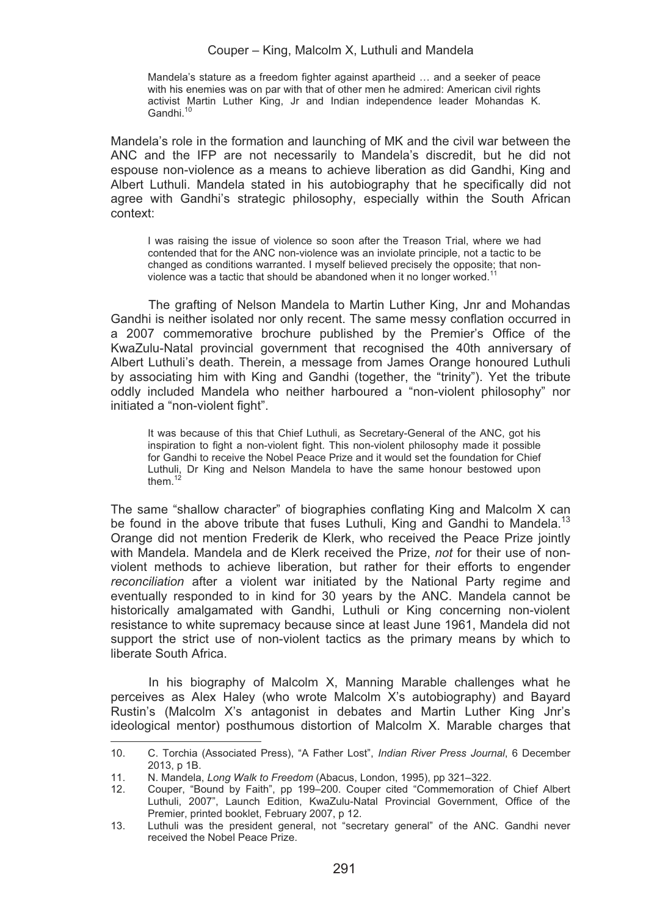Mandela's stature as a freedom fighter against apartheid … and a seeker of peace with his enemies was on par with that of other men he admired: American civil rights activist Martin Luther King, Jr and Indian independence leader Mohandas K. Gandhi<sup>10</sup>

Mandela's role in the formation and launching of MK and the civil war between the ANC and the IFP are not necessarily to Mandela's discredit, but he did not espouse non-violence as a means to achieve liberation as did Gandhi, King and Albert Luthuli. Mandela stated in his autobiography that he specifically did not agree with Gandhi's strategic philosophy, especially within the South African context:

I was raising the issue of violence so soon after the Treason Trial, where we had contended that for the ANC non-violence was an inviolate principle, not a tactic to be changed as conditions warranted. I myself believed precisely the opposite; that nonviolence was a tactic that should be abandoned when it no longer worked.<sup>1</sup>

The grafting of Nelson Mandela to Martin Luther King, Jnr and Mohandas Gandhi is neither isolated nor only recent. The same messy conflation occurred in a 2007 commemorative brochure published by the Premier's Office of the KwaZulu-Natal provincial government that recognised the 40th anniversary of Albert Luthuli's death. Therein, a message from James Orange honoured Luthuli by associating him with King and Gandhi (together, the "trinity"). Yet the tribute oddly included Mandela who neither harboured a "non-violent philosophy" nor initiated a "non-violent fight".

It was because of this that Chief Luthuli, as Secretary-General of the ANC, got his inspiration to fight a non-violent fight. This non-violent philosophy made it possible for Gandhi to receive the Nobel Peace Prize and it would set the foundation for Chief Luthuli, Dr King and Nelson Mandela to have the same honour bestowed upon them  $12$ 

The same "shallow character" of biographies conflating King and Malcolm X can be found in the above tribute that fuses Luthuli. King and Gandhi to Mandela.<sup>13</sup> Orange did not mention Frederik de Klerk, who received the Peace Prize jointly with Mandela. Mandela and de Klerk received the Prize, *not* for their use of nonviolent methods to achieve liberation, but rather for their efforts to engender *reconciliation* after a violent war initiated by the National Party regime and eventually responded to in kind for 30 years by the ANC. Mandela cannot be historically amalgamated with Gandhi, Luthuli or King concerning non-violent resistance to white supremacy because since at least June 1961, Mandela did not support the strict use of non-violent tactics as the primary means by which to liberate South Africa.

In his biography of Malcolm X, Manning Marable challenges what he perceives as Alex Haley (who wrote Malcolm X's autobiography) and Bayard Rustin's (Malcolm X's antagonist in debates and Martin Luther King Jnr's ideological mentor) posthumous distortion of Malcolm X. Marable charges that

<u> Andrew Maria (1989)</u>

<sup>10.</sup> C. Torchia (Associated Press), "A Father Lost", *Indian River Press Journal*, 6 December 2013, p 1B.

<sup>11.</sup> N. Mandela, *Long Walk to Freedom* (Abacus, London, 1995), pp 321–322.

<sup>12.</sup> Couper, "Bound by Faith", pp 199–200. Couper cited "Commemoration of Chief Albert Luthuli, 2007", Launch Edition, KwaZulu-Natal Provincial Government, Office of the Premier, printed booklet, February 2007, p 12.

<sup>13.</sup> Luthuli was the president general, not "secretary general" of the ANC. Gandhi never received the Nobel Peace Prize.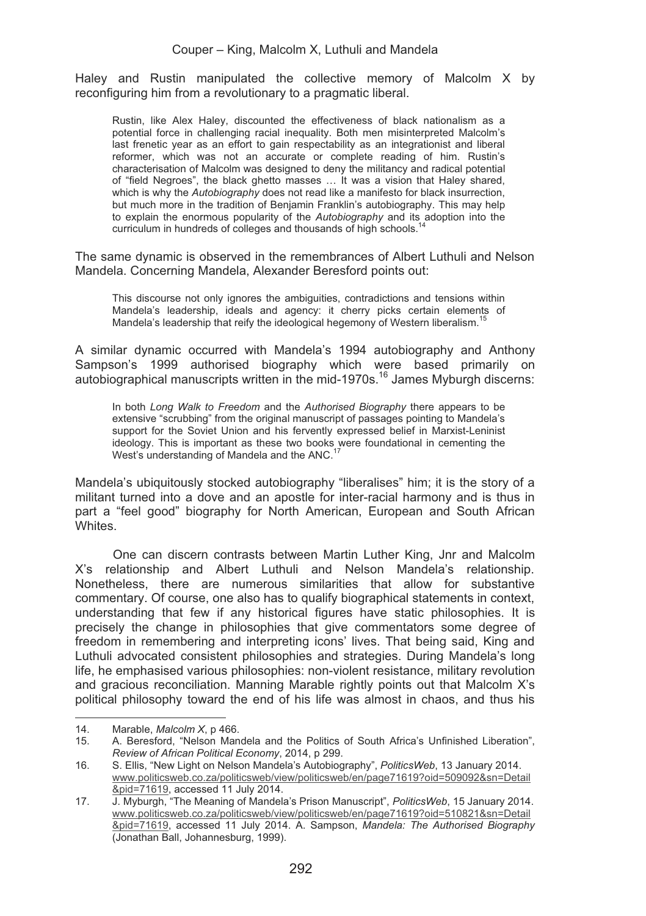Haley and Rustin manipulated the collective memory of Malcolm X by reconfiguring him from a revolutionary to a pragmatic liberal.

Rustin, like Alex Haley, discounted the effectiveness of black nationalism as a potential force in challenging racial inequality. Both men misinterpreted Malcolm's last frenetic year as an effort to gain respectability as an integrationist and liberal reformer, which was not an accurate or complete reading of him. Rustin's characterisation of Malcolm was designed to deny the militancy and radical potential of "field Negroes", the black ghetto masses … It was a vision that Haley shared, which is why the *Autobiography* does not read like a manifesto for black insurrection. but much more in the tradition of Benjamin Franklin's autobiography. This may help to explain the enormous popularity of the *Autobiography* and its adoption into the curriculum in hundreds of colleges and thousands of high schools.<sup>1</sup>

The same dynamic is observed in the remembrances of Albert Luthuli and Nelson Mandela. Concerning Mandela, Alexander Beresford points out:

This discourse not only ignores the ambiguities, contradictions and tensions within Mandela's leadership, ideals and agency: it cherry picks certain elements of Mandela's leadership that reify the ideological hegemony of Western liberalism.<sup>15</sup>

A similar dynamic occurred with Mandela's 1994 autobiography and Anthony Sampson's 1999 authorised biography which were based primarily on autobiographical manuscripts written in the mid-1970s.<sup>16</sup> James Myburgh discerns:

In both *Long Walk to Freedom* and the *Authorised Biography* there appears to be extensive "scrubbing" from the original manuscript of passages pointing to Mandela's support for the Soviet Union and his fervently expressed belief in Marxist-Leninist ideology. This is important as these two books were foundational in cementing the West's understanding of Mandela and the ANC.<sup>17</sup>

Mandela's ubiquitously stocked autobiography "liberalises" him; it is the story of a militant turned into a dove and an apostle for inter-racial harmony and is thus in part a "feel good" biography for North American, European and South African Whites.

One can discern contrasts between Martin Luther King, Jnr and Malcolm X's relationship and Albert Luthuli and Nelson Mandela's relationship. Nonetheless, there are numerous similarities that allow for substantive commentary. Of course, one also has to qualify biographical statements in context, understanding that few if any historical figures have static philosophies. It is precisely the change in philosophies that give commentators some degree of freedom in remembering and interpreting icons' lives. That being said, King and Luthuli advocated consistent philosophies and strategies. During Mandela's long life, he emphasised various philosophies: non-violent resistance, military revolution and gracious reconciliation. Manning Marable rightly points out that Malcolm X's political philosophy toward the end of his life was almost in chaos, and thus his

<sup>&</sup>lt;u> 1989 - Johann Stein, mars an t-Amerikaansk kommunister (</u> 14. Marable, *Malcolm X*, p 466.

<sup>15.</sup> A. Beresford, "Nelson Mandela and the Politics of South Africa's Unfinished Liberation", *Review of African Political Economy*, 2014, p 299.

<sup>16.</sup> S. Ellis, "New Light on Nelson Mandela's Autobiography", *PoliticsWeb*, 13 January 2014. www.politicsweb.co.za/politicsweb/view/politicsweb/en/page71619?oid=509092&sn=Detail &pid=71619, accessed 11 July 2014.

<sup>17.</sup> J. Myburgh, "The Meaning of Mandela's Prison Manuscript", *PoliticsWeb*, 15 January 2014. www.politicsweb.co.za/politicsweb/view/politicsweb/en/page71619?oid=510821&sn=Detail &pid=71619, accessed 11 July 2014. A. Sampson, *Mandela: The Authorised Biography*  (Jonathan Ball, Johannesburg, 1999).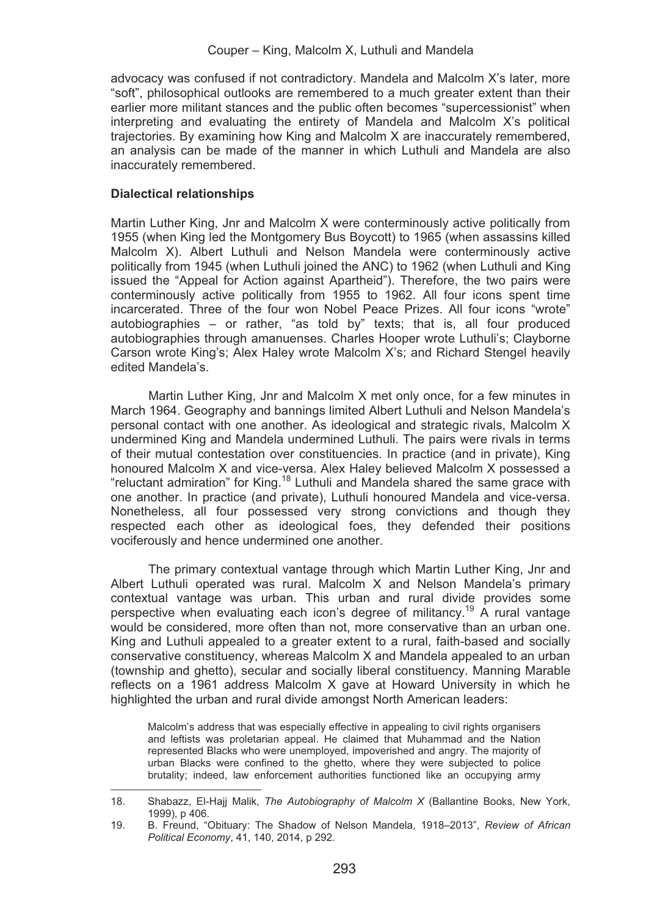advocacy was confused if not contradictory. Mandela and Malcolm X's later, more "soft", philosophical outlooks are remembered to a much greater extent than their earlier more militant stances and the public often becomes "supercessionist" when interpreting and evaluating the entirety of Mandela and Malcolm X's political trajectories. By examining how King and Malcolm X are inaccurately remembered, an analysis can be made of the manner in which Luthuli and Mandela are also inaccurately remembered.

## **Dialectical relationships**

<u> Andrew Maria (1989)</u>

Martin Luther King, Jnr and Malcolm X were conterminously active politically from 1955 (when King led the Montgomery Bus Boycott) to 1965 (when assassins killed Malcolm X). Albert Luthuli and Nelson Mandela were conterminously active politically from 1945 (when Luthuli joined the ANC) to 1962 (when Luthuli and King issued the "Appeal for Action against Apartheid"). Therefore, the two pairs were conterminously active politically from 1955 to 1962. All four icons spent time incarcerated. Three of the four won Nobel Peace Prizes. All four icons "wrote" autobiographies – or rather, "as told by" texts; that is, all four produced autobiographies through amanuenses. Charles Hooper wrote Luthuli's; Clayborne Carson wrote King's; Alex Haley wrote Malcolm X's; and Richard Stengel heavily edited Mandela's.

Martin Luther King, Jnr and Malcolm X met only once, for a few minutes in March 1964. Geography and bannings limited Albert Luthuli and Nelson Mandela's personal contact with one another. As ideological and strategic rivals, Malcolm X undermined King and Mandela undermined Luthuli. The pairs were rivals in terms of their mutual contestation over constituencies. In practice (and in private), King honoured Malcolm X and vice-versa. Alex Haley believed Malcolm X possessed a "reluctant admiration" for King.18 Luthuli and Mandela shared the same grace with one another. In practice (and private), Luthuli honoured Mandela and vice-versa. Nonetheless, all four possessed very strong convictions and though they respected each other as ideological foes, they defended their positions vociferously and hence undermined one another.

The primary contextual vantage through which Martin Luther King, Jnr and Albert Luthuli operated was rural. Malcolm X and Nelson Mandela's primary contextual vantage was urban. This urban and rural divide provides some perspective when evaluating each icon's degree of militancy.19 A rural vantage would be considered, more often than not, more conservative than an urban one. King and Luthuli appealed to a greater extent to a rural, faith-based and socially conservative constituency, whereas Malcolm X and Mandela appealed to an urban (township and ghetto), secular and socially liberal constituency. Manning Marable reflects on a 1961 address Malcolm X gave at Howard University in which he highlighted the urban and rural divide amongst North American leaders:

Malcolm's address that was especially effective in appealing to civil rights organisers and leftists was proletarian appeal. He claimed that Muhammad and the Nation represented Blacks who were unemployed, impoverished and angry. The majority of urban Blacks were confined to the ghetto, where they were subjected to police brutality; indeed, law enforcement authorities functioned like an occupying army

<sup>18.</sup> Shabazz, El-Hajj Malik, *The Autobiography of Malcolm X* (Ballantine Books, New York, 1999), p 406.

<sup>19.</sup> B. Freund, "Obituary: The Shadow of Nelson Mandela, 1918–2013", *Review of African Political Economy*, 41, 140, 2014, p 292.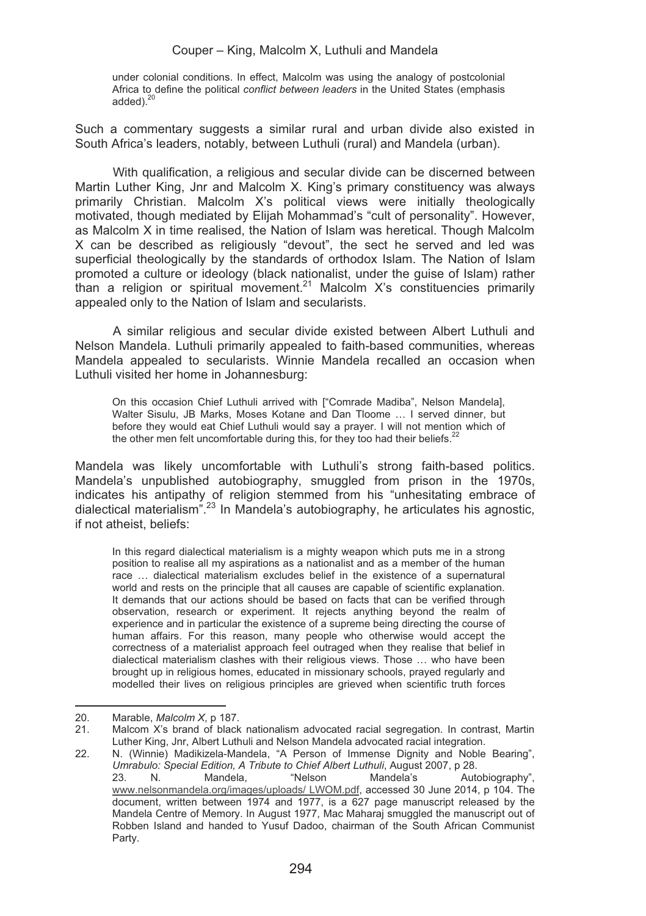under colonial conditions. In effect, Malcolm was using the analogy of postcolonial Africa to define the political *conflict between leaders* in the United States (emphasis added). $^{20}$ 

Such a commentary suggests a similar rural and urban divide also existed in South Africa's leaders, notably, between Luthuli (rural) and Mandela (urban).

With qualification, a religious and secular divide can be discerned between Martin Luther King, Jnr and Malcolm X. King's primary constituency was always primarily Christian. Malcolm X's political views were initially theologically motivated, though mediated by Elijah Mohammad's "cult of personality". However, as Malcolm X in time realised, the Nation of Islam was heretical. Though Malcolm X can be described as religiously "devout", the sect he served and led was superficial theologically by the standards of orthodox Islam. The Nation of Islam promoted a culture or ideology (black nationalist, under the guise of Islam) rather than a religion or spiritual movement.<sup>21</sup> Malcolm X's constituencies primarily appealed only to the Nation of Islam and secularists.

A similar religious and secular divide existed between Albert Luthuli and Nelson Mandela. Luthuli primarily appealed to faith-based communities, whereas Mandela appealed to secularists. Winnie Mandela recalled an occasion when Luthuli visited her home in Johannesburg:

On this occasion Chief Luthuli arrived with ["Comrade Madiba", Nelson Mandela], Walter Sisulu, JB Marks, Moses Kotane and Dan Tloome … I served dinner, but before they would eat Chief Luthuli would say a prayer. I will not mention which of the other men felt uncomfortable during this, for they too had their beliefs.<sup>22</sup>

Mandela was likely uncomfortable with Luthuli's strong faith-based politics. Mandela's unpublished autobiography, smuggled from prison in the 1970s, indicates his antipathy of religion stemmed from his "unhesitating embrace of<br>dialectical materialism".<sup>23</sup> In Mandela's autobiography, he articulates his agnostic, if not atheist, beliefs:

In this regard dialectical materialism is a mighty weapon which puts me in a strong position to realise all my aspirations as a nationalist and as a member of the human race … dialectical materialism excludes belief in the existence of a supernatural world and rests on the principle that all causes are capable of scientific explanation. It demands that our actions should be based on facts that can be verified through observation, research or experiment. It rejects anything beyond the realm of experience and in particular the existence of a supreme being directing the course of human affairs. For this reason, many people who otherwise would accept the correctness of a materialist approach feel outraged when they realise that belief in dialectical materialism clashes with their religious views. Those … who have been brought up in religious homes, educated in missionary schools, prayed regularly and modelled their lives on religious principles are grieved when scientific truth forces

<sup>&</sup>lt;u> 1989 - Johann Stein, mars an t-Amerikaansk kommunister (</u> 20. Marable, *Malcolm X*, p 187.

<sup>21.</sup> Malcom X's brand of black nationalism advocated racial segregation. In contrast, Martin Luther King, Jnr, Albert Luthuli and Nelson Mandela advocated racial integration.

<sup>22.</sup> N. (Winnie) Madikizela-Mandela, "A Person of Immense Dignity and Noble Bearing", *Umrabulo: Special Edition, A Tribute to Chief Albert Luthuli, August 2007, p 28.*<br>23. N. Mandela, "Nelson Mandela's Autobiography", 23. N. Mandela, "Nelson Mandela's Autobiography",<br><u>www.nelsonmandela.org/images/uploads/ LWOM.pdf</u>, accessed 30 June 2014, p 104. The

document, written between 1974 and 1977, is a 627 page manuscript released by the Mandela Centre of Memory. In August 1977, Mac Maharaj smuggled the manuscript out of Robben Island and handed to Yusuf Dadoo, chairman of the South African Communist Party.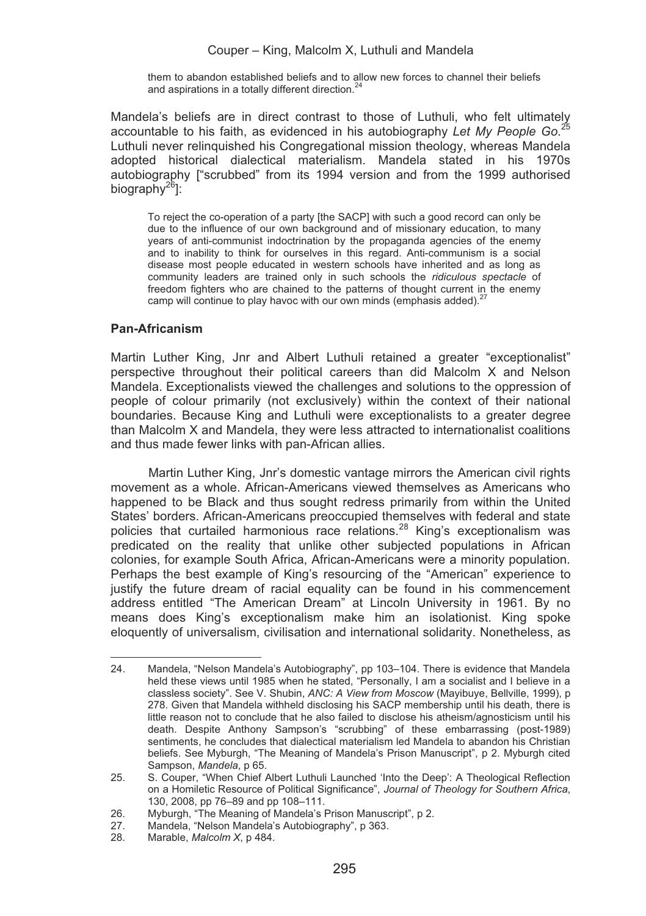them to abandon established beliefs and to allow new forces to channel their beliefs and aspirations in a totally different direction.<sup>24</sup>

Mandela's beliefs are in direct contrast to those of Luthuli, who felt ultimately accountable to his faith, as evidenced in his autobiography *Let My People Go*. 25 Luthuli never relinquished his Congregational mission theology, whereas Mandela adopted historical dialectical materialism. Mandela stated in his 1970s autobiography ["scrubbed" from its 1994 version and from the 1999 authorised biography<sup>26</sup>]:

To reject the co-operation of a party [the SACP] with such a good record can only be due to the influence of our own background and of missionary education, to many years of anti-communist indoctrination by the propaganda agencies of the enemy and to inability to think for ourselves in this regard. Anti-communism is a social disease most people educated in western schools have inherited and as long as community leaders are trained only in such schools the *ridiculous spectacle* of freedom fighters who are chained to the patterns of thought current in the enemy camp will continue to play havoc with our own minds (emphasis added).<sup>27</sup>

# **Pan-Africanism**

Martin Luther King, Jnr and Albert Luthuli retained a greater "exceptionalist" perspective throughout their political careers than did Malcolm X and Nelson Mandela. Exceptionalists viewed the challenges and solutions to the oppression of people of colour primarily (not exclusively) within the context of their national boundaries. Because King and Luthuli were exceptionalists to a greater degree than Malcolm X and Mandela, they were less attracted to internationalist coalitions and thus made fewer links with pan-African allies.

Martin Luther King, Jnr's domestic vantage mirrors the American civil rights movement as a whole. African-Americans viewed themselves as Americans who happened to be Black and thus sought redress primarily from within the United States' borders. African-Americans preoccupied themselves with federal and state policies that curtailed harmonious race relations.<sup>28</sup> King's exceptionalism was predicated on the reality that unlike other subjected populations in African colonies, for example South Africa, African-Americans were a minority population. Perhaps the best example of King's resourcing of the "American" experience to justify the future dream of racial equality can be found in his commencement address entitled "The American Dream" at Lincoln University in 1961. By no means does King's exceptionalism make him an isolationist. King spoke eloquently of universalism, civilisation and international solidarity. Nonetheless, as

<sup>&</sup>lt;u> Andrew Maria (1989)</u> 24. Mandela, "Nelson Mandela's Autobiography", pp 103–104. There is evidence that Mandela held these views until 1985 when he stated, "Personally, I am a socialist and I believe in a classless society". See V. Shubin, *ANC: A View from Moscow* (Mayibuye, Bellville, 1999), p 278. Given that Mandela withheld disclosing his SACP membership until his death, there is little reason not to conclude that he also failed to disclose his atheism/agnosticism until his death. Despite Anthony Sampson's "scrubbing" of these embarrassing (post-1989) sentiments, he concludes that dialectical materialism led Mandela to abandon his Christian beliefs. See Myburgh, "The Meaning of Mandela's Prison Manuscript", p 2. Myburgh cited Sampson, *Mandela*, p 65.

<sup>25.</sup> S. Couper, "When Chief Albert Luthuli Launched 'Into the Deep': A Theological Reflection on a Homiletic Resource of Political Significance", *Journal of Theology for Southern Africa*, 130, 2008, pp 76–89 and pp 108–111.

<sup>26.</sup> Myburgh, "The Meaning of Mandela's Prison Manuscript", p 2.<br>27 Mandela. "Nelson Mandela's Autobiography", p 363.

<sup>27.</sup> Mandela, "Nelson Mandela's Autobiography", p 363.<br>28 Marable *Malcolm X* n 484

<sup>28.</sup> Marable, *Malcolm X*, p 484.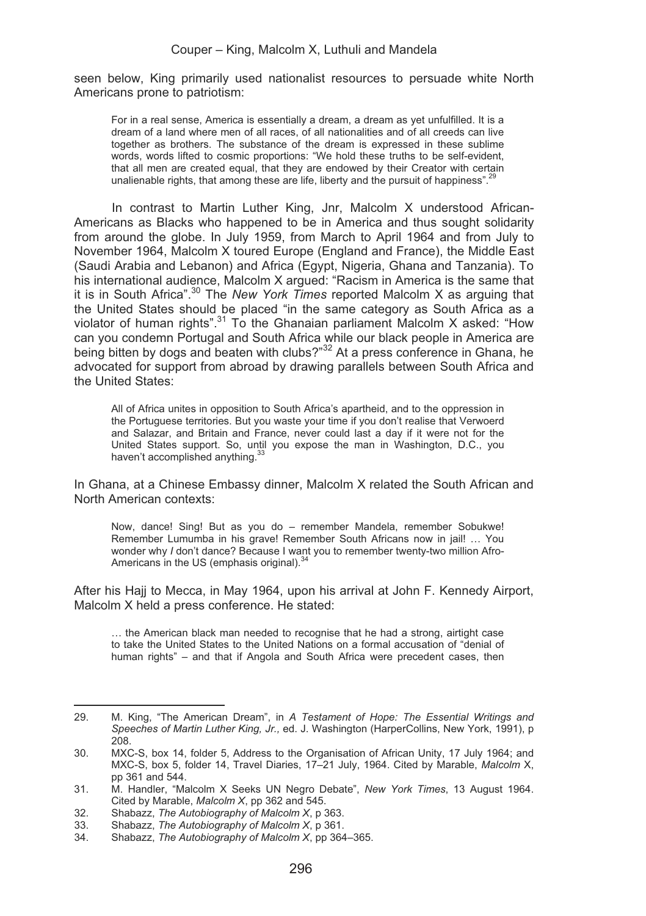seen below, King primarily used nationalist resources to persuade white North Americans prone to patriotism:

For in a real sense, America is essentially a dream, a dream as yet unfulfilled. It is a dream of a land where men of all races, of all nationalities and of all creeds can live together as brothers. The substance of the dream is expressed in these sublime words, words lifted to cosmic proportions: "We hold these truths to be self-evident, that all men are created equal, that they are endowed by their Creator with certain unalienable rights, that among these are life. liberty and the pursuit of happiness".<sup>29</sup>

In contrast to Martin Luther King, Jnr, Malcolm X understood African-Americans as Blacks who happened to be in America and thus sought solidarity from around the globe. In July 1959, from March to April 1964 and from July to November 1964, Malcolm X toured Europe (England and France), the Middle East (Saudi Arabia and Lebanon) and Africa (Egypt, Nigeria, Ghana and Tanzania). To his international audience, Malcolm X argued: "Racism in America is the same that it is in South Africa".30 The *New York Times* reported Malcolm X as arguing that the United States should be placed "in the same category as South Africa as a violator of human rights".<sup>31</sup> To the Ghanaian parliament Malcolm X asked: "How can you condemn Portugal and South Africa while our black people in America are being bitten by dogs and beaten with clubs?"<sup>32</sup> At a press conference in Ghana, he advocated for support from abroad by drawing parallels between South Africa and the United States:

All of Africa unites in opposition to South Africa's apartheid, and to the oppression in the Portuguese territories. But you waste your time if you don't realise that Verwoerd and Salazar, and Britain and France, never could last a day if it were not for the United States support. So, until you expose the man in Washington, D.C., you haven't accomplished anything.<sup>33</sup>

In Ghana, at a Chinese Embassy dinner, Malcolm X related the South African and North American contexts:

Now, dance! Sing! But as you do – remember Mandela, remember Sobukwe! Remember Lumumba in his grave! Remember South Africans now in jail! ... You wonder why *I* don't dance? Because I want you to remember twenty-two million Afro-Americans in the US (emphasis original).<sup>34</sup>

After his Hajj to Mecca, in May 1964, upon his arrival at John F. Kennedy Airport, Malcolm X held a press conference. He stated:

… the American black man needed to recognise that he had a strong, airtight case to take the United States to the United Nations on a formal accusation of "denial of human rights" – and that if Angola and South Africa were precedent cases, then

<u> 1989 - Johann Stein, mars an t-Amerikaansk kommunister (</u>

<sup>29.</sup> M. King, "The American Dream", in *A Testament of Hope: The Essential Writings and Speeches of Martin Luther King, Jr.,* ed. J. Washington (HarperCollins, New York, 1991), p 208.

<sup>30.</sup> MXC-S, box 14, folder 5, Address to the Organisation of African Unity, 17 July 1964; and MXC-S, box 5, folder 14, Travel Diaries, 17–21 July, 1964. Cited by Marable, *Malcolm* X, pp 361 and 544.

<sup>31.</sup> M. Handler, "Malcolm X Seeks UN Negro Debate", *New York Times*, 13 August 1964. Cited by Marable, *Malcolm X*, pp 362 and 545.

<sup>32.</sup> Shabazz, *The Autobiography of Malcolm X*, p 363.

<sup>33.</sup> Shabazz, *The Autobiography of Malcolm X*, p 361.

<sup>34.</sup> Shabazz, *The Autobiography of Malcolm X*, pp 364–365.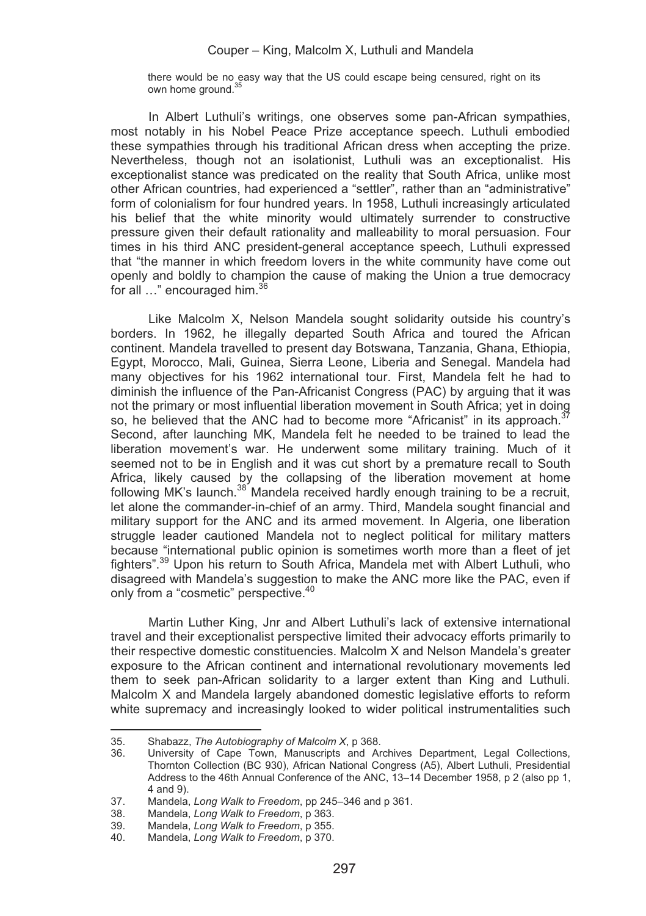there would be no easy way that the US could escape being censured, right on its own home ground.<sup>35</sup>

In Albert Luthuli's writings, one observes some pan-African sympathies, most notably in his Nobel Peace Prize acceptance speech. Luthuli embodied these sympathies through his traditional African dress when accepting the prize. Nevertheless, though not an isolationist, Luthuli was an exceptionalist. His exceptionalist stance was predicated on the reality that South Africa, unlike most other African countries, had experienced a "settler", rather than an "administrative" form of colonialism for four hundred years. In 1958, Luthuli increasingly articulated his belief that the white minority would ultimately surrender to constructive pressure given their default rationality and malleability to moral persuasion. Four times in his third ANC president-general acceptance speech, Luthuli expressed that "the manner in which freedom lovers in the white community have come out openly and boldly to champion the cause of making the Union a true democracy for all ..." encouraged him.<sup>36</sup>

Like Malcolm X, Nelson Mandela sought solidarity outside his country's borders. In 1962, he illegally departed South Africa and toured the African continent. Mandela travelled to present day Botswana, Tanzania, Ghana, Ethiopia, Egypt, Morocco, Mali, Guinea, Sierra Leone, Liberia and Senegal. Mandela had many objectives for his 1962 international tour. First, Mandela felt he had to diminish the influence of the Pan-Africanist Congress (PAC) by arguing that it was not the primary or most influential liberation movement in South Africa; yet in doing so, he believed that the ANC had to become more "Africanist" in its approach. $37$ Second, after launching MK, Mandela felt he needed to be trained to lead the liberation movement's war. He underwent some military training. Much of it seemed not to be in English and it was cut short by a premature recall to South Africa, likely caused by the collapsing of the liberation movement at home following MK's launch.<sup>38</sup> Mandela received hardly enough training to be a recruit, let alone the commander-in-chief of an army. Third, Mandela sought financial and military support for the ANC and its armed movement. In Algeria, one liberation struggle leader cautioned Mandela not to neglect political for military matters because "international public opinion is sometimes worth more than a fleet of jet fighters".<sup>39</sup> Upon his return to South Africa, Mandela met with Albert Luthuli, who disagreed with Mandela's suggestion to make the ANC more like the PAC, even if only from a "cosmetic" perspective.40

Martin Luther King, Jnr and Albert Luthuli's lack of extensive international travel and their exceptionalist perspective limited their advocacy efforts primarily to their respective domestic constituencies. Malcolm X and Nelson Mandela's greater exposure to the African continent and international revolutionary movements led them to seek pan-African solidarity to a larger extent than King and Luthuli. Malcolm X and Mandela largely abandoned domestic legislative efforts to reform white supremacy and increasingly looked to wider political instrumentalities such

<u> Andrew Maria (1989)</u>

<sup>35.</sup> Shabazz, *The Autobiography of Malcolm X*, p 368.

University of Cape Town, Manuscripts and Archives Department. Legal Collections. Thornton Collection (BC 930), African National Congress (A5), Albert Luthuli, Presidential Address to the 46th Annual Conference of the ANC, 13–14 December 1958, p 2 (also pp 1, 4 and 9).

<sup>37.</sup> Mandela, *Long Walk to Freedom*, pp 245–346 and p 361.

<sup>38.</sup> Mandela, *Long Walk to Freedom*, p 363.

<sup>39.</sup> Mandela, *Long Walk to Freedom*, p 355.

<sup>40.</sup> Mandela, *Long Walk to Freedom*, p 370.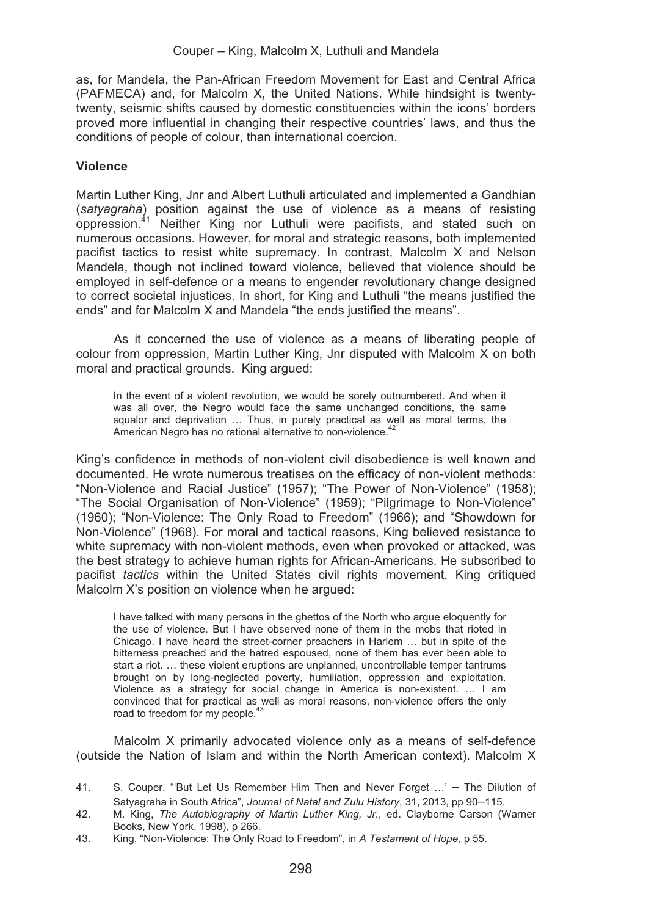as, for Mandela, the Pan-African Freedom Movement for East and Central Africa (PAFMECA) and, for Malcolm X, the United Nations. While hindsight is twentytwenty, seismic shifts caused by domestic constituencies within the icons' borders proved more influential in changing their respective countries' laws, and thus the conditions of people of colour, than international coercion.

# **Violence**

Martin Luther King, Jnr and Albert Luthuli articulated and implemented a Gandhian (*satyagraha*) position against the use of violence as a means of resisting oppression.41 Neither King nor Luthuli were pacifists, and stated such on numerous occasions. However, for moral and strategic reasons, both implemented pacifist tactics to resist white supremacy. In contrast, Malcolm X and Nelson Mandela, though not inclined toward violence, believed that violence should be employed in self-defence or a means to engender revolutionary change designed to correct societal injustices. In short, for King and Luthuli "the means justified the ends" and for Malcolm X and Mandela "the ends justified the means".

As it concerned the use of violence as a means of liberating people of colour from oppression, Martin Luther King, Jnr disputed with Malcolm X on both moral and practical grounds. King argued:

In the event of a violent revolution, we would be sorely outnumbered. And when it was all over, the Negro would face the same unchanged conditions, the same squalor and deprivation … Thus, in purely practical as well as moral terms, the American Negro has no rational alternative to non-violence.<sup>42</sup>

King's confidence in methods of non-violent civil disobedience is well known and documented. He wrote numerous treatises on the efficacy of non-violent methods: "Non-Violence and Racial Justice" (1957); "The Power of Non-Violence" (1958); "The Social Organisation of Non-Violence" (1959); "Pilgrimage to Non-Violence" (1960); "Non-Violence: The Only Road to Freedom" (1966); and "Showdown for Non-Violence" (1968). For moral and tactical reasons, King believed resistance to white supremacy with non-violent methods, even when provoked or attacked, was the best strategy to achieve human rights for African-Americans. He subscribed to pacifist *tactics* within the United States civil rights movement. King critiqued Malcolm X's position on violence when he argued:

I have talked with many persons in the ghettos of the North who argue eloquently for the use of violence. But I have observed none of them in the mobs that rioted in Chicago. I have heard the street-corner preachers in Harlem … but in spite of the bitterness preached and the hatred espoused, none of them has ever been able to start a riot. … these violent eruptions are unplanned, uncontrollable temper tantrums brought on by long-neglected poverty, humiliation, oppression and exploitation. Violence as a strategy for social change in America is non-existent. … I am convinced that for practical as well as moral reasons, non-violence offers the only road to freedom for my people.<sup>43</sup>

Malcolm X primarily advocated violence only as a means of self-defence (outside the Nation of Islam and within the North American context). Malcolm X

<u> Andrew Maria (1989)</u>

<sup>41.</sup> S. Couper. "�But Let Us Remember Him Then and Never Forget …' – The Dilution of Satyagraha in South Africa", *Journal of Natal and Zulu History*, 31, 2013, pp 90–115.

<sup>42.</sup> M. King, *The Autobiography of Martin Luther King, Jr.*, ed. Clayborne Carson (Warner Books, New York, 1998), p 266.

<sup>43.</sup> King, "Non-Violence: The Only Road to Freedom", in *A Testament of Hope*, p 55.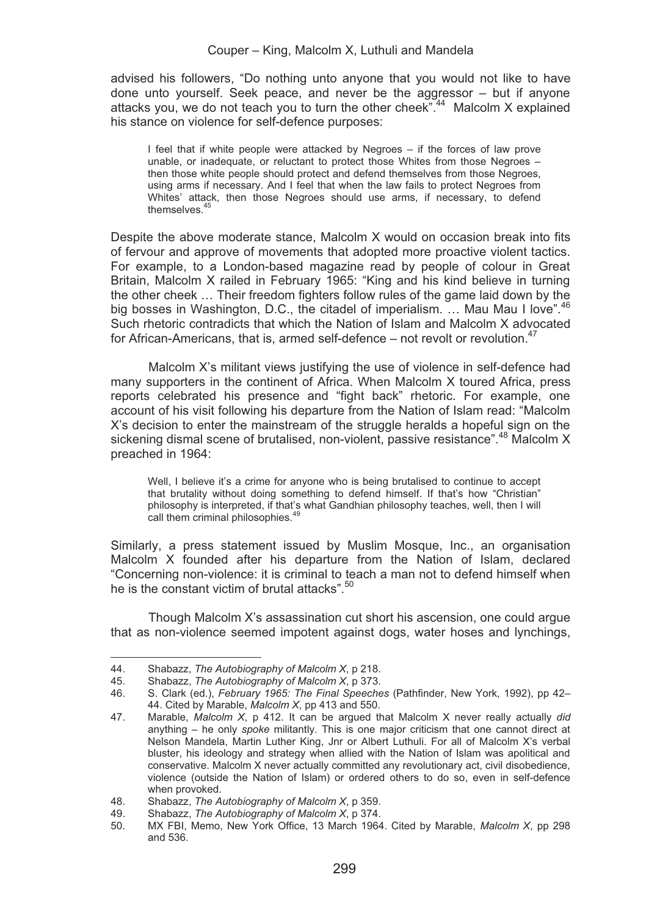advised his followers, "Do nothing unto anyone that you would not like to have done unto yourself. Seek peace, and never be the aggressor – but if anyone attacks you, we do not teach you to turn the other cheek".44 Malcolm X explained his stance on violence for self-defence purposes:

I feel that if white people were attacked by Negroes – if the forces of law prove unable, or inadequate, or reluctant to protect those Whites from those Negroes – then those white people should protect and defend themselves from those Negroes, using arms if necessary. And I feel that when the law fails to protect Negroes from Whites' attack, then those Negroes should use arms, if necessary, to defend themselves<sup>45</sup>

Despite the above moderate stance, Malcolm X would on occasion break into fits of fervour and approve of movements that adopted more proactive violent tactics. For example, to a London-based magazine read by people of colour in Great Britain, Malcolm X railed in February 1965: "King and his kind believe in turning the other cheek … Their freedom fighters follow rules of the game laid down by the big bosses in Washington, D.C., the citadel of imperialism. ... Mau Mau I love".<sup>46</sup> Such rhetoric contradicts that which the Nation of Islam and Malcolm X advocated for African-Americans, that is, armed self-defence – not revolt or revolution.<sup>47</sup>

Malcolm X's militant views justifying the use of violence in self-defence had many supporters in the continent of Africa. When Malcolm X toured Africa, press reports celebrated his presence and "fight back" rhetoric. For example, one account of his visit following his departure from the Nation of Islam read: "Malcolm X's decision to enter the mainstream of the struggle heralds a hopeful sign on the sickening dismal scene of brutalised, non-violent, passive resistance".<sup>48</sup> Malcolm X preached in 1964:

Well, I believe it's a crime for anyone who is being brutalised to continue to accept that brutality without doing something to defend himself. If that's how "Christian" philosophy is interpreted, if that's what Gandhian philosophy teaches, well, then I will call them criminal philosophies.<sup>49</sup>

Similarly, a press statement issued by Muslim Mosque, Inc., an organisation Malcolm X founded after his departure from the Nation of Islam, declared "Concerning non-violence: it is criminal to teach a man not to defend himself when he is the constant victim of brutal attacks".<sup>50</sup>

Though Malcolm X's assassination cut short his ascension, one could argue that as non-violence seemed impotent against dogs, water hoses and lynchings,

<sup>&</sup>lt;u> Andrew Maria (1989)</u> 44. Shabazz, *The Autobiography of Malcolm X*, p 218.

<sup>45.</sup> Shabazz, *The Autobiography of Malcolm X*, p 373.

<sup>46.</sup> S. Clark (ed.), *February 1965: The Final Speeches* (Pathfinder, New York, 1992), pp 42– 44. Cited by Marable, *Malcolm X*, pp 413 and 550.

<sup>47.</sup> Marable, *Malcolm X*, p 412. It can be argued that Malcolm X never really actually *did*  anything – he only *spoke* militantly. This is one major criticism that one cannot direct at Nelson Mandela, Martin Luther King, Jnr or Albert Luthuli. For all of Malcolm X's verbal bluster, his ideology and strategy when allied with the Nation of Islam was apolitical and conservative. Malcolm X never actually committed any revolutionary act, civil disobedience, violence (outside the Nation of Islam) or ordered others to do so, even in self-defence when provoked.

<sup>48.</sup> Shabazz, *The Autobiography of Malcolm X*, p 359.

<sup>49.</sup> Shabazz, *The Autobiography of Malcolm X*, p 374.

<sup>50.</sup> MX FBI, Memo, New York Office, 13 March 1964. Cited by Marable, *Malcolm X*, pp 298 and 536.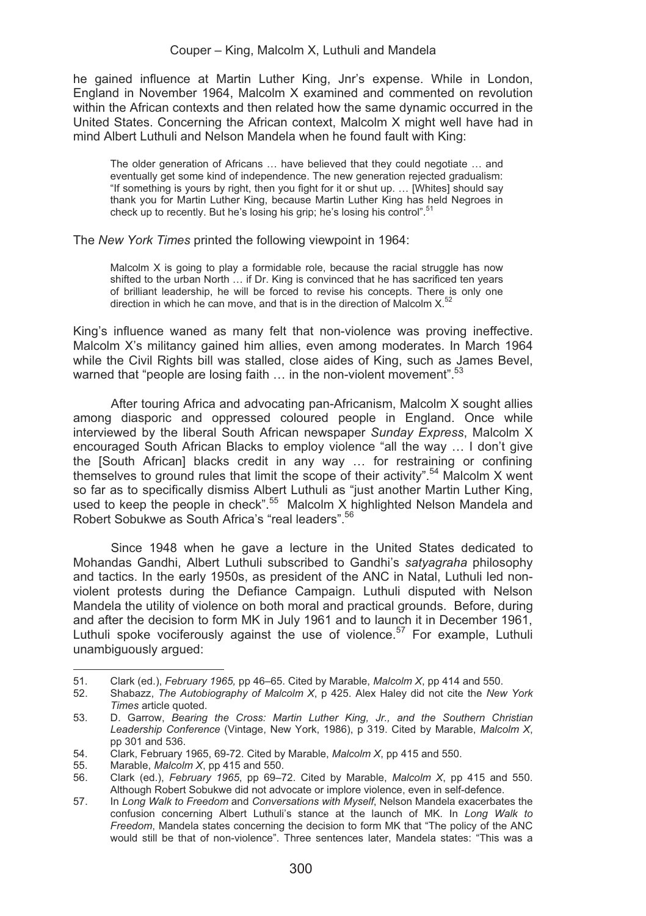he gained influence at Martin Luther King, Jnr's expense. While in London, England in November 1964, Malcolm X examined and commented on revolution within the African contexts and then related how the same dynamic occurred in the United States. Concerning the African context, Malcolm X might well have had in mind Albert Luthuli and Nelson Mandela when he found fault with King:

The older generation of Africans … have believed that they could negotiate … and eventually get some kind of independence. The new generation rejected gradualism: "If something is yours by right, then you fight for it or shut up. … [Whites] should say thank you for Martin Luther King, because Martin Luther King has held Negroes in check up to recently. But he's losing his grip; he's losing his control".<sup>51</sup>

The *New York Times* printed the following viewpoint in 1964:

Malcolm X is going to play a formidable role, because the racial struggle has now shifted to the urban North … if Dr. King is convinced that he has sacrificed ten years of brilliant leadership, he will be forced to revise his concepts. There is only one direction in which he can move, and that is in the direction of Malcolm  $X$ <sup>52</sup>

King's influence waned as many felt that non-violence was proving ineffective. Malcolm X's militancy gained him allies, even among moderates. In March 1964 while the Civil Rights bill was stalled, close aides of King, such as James Bevel, warned that "people are losing faith ... in the non-violent movement".<sup>53</sup>

After touring Africa and advocating pan-Africanism, Malcolm X sought allies among diasporic and oppressed coloured people in England. Once while interviewed by the liberal South African newspaper *Sunday Express*, Malcolm X encouraged South African Blacks to employ violence "all the way … I don't give the [South African] blacks credit in any way … for restraining or confining themselves to ground rules that limit the scope of their activity".<sup>54</sup> Malcolm X went so far as to specifically dismiss Albert Luthuli as "just another Martin Luther King, used to keep the people in check".<sup>55</sup> Malcolm X highlighted Nelson Mandela and Robert Sobukwe as South Africa's "real leaders".56

Since 1948 when he gave a lecture in the United States dedicated to Mohandas Gandhi, Albert Luthuli subscribed to Gandhi's *satyagraha* philosophy and tactics. In the early 1950s, as president of the ANC in Natal, Luthuli led nonviolent protests during the Defiance Campaign. Luthuli disputed with Nelson Mandela the utility of violence on both moral and practical grounds. Before, during and after the decision to form MK in July 1961 and to launch it in December 1961, Luthuli spoke vociferously against the use of violence.<sup>57</sup> For example, Luthuli unambiguously argued:

51. Clark (ed.), *February 1965,* pp 46–65. Cited by Marable, *Malcolm X*, pp 414 and 550.

<sup>52.</sup> Shabazz, *The Autobiography of Malcolm X*, p 425. Alex Haley did not cite the *New York Times* article quoted.

<sup>53.</sup> D. Garrow, *Bearing the Cross: Martin Luther King, Jr., and the Southern Christian Leadership Conference* (Vintage, New York, 1986), p 319. Cited by Marable, *Malcolm X*, pp 301 and 536.

<sup>54.</sup> Clark, February 1965, 69-72. Cited by Marable, *Malcolm X*, pp 415 and 550.

<sup>55.</sup> Marable, *Malcolm X*, pp 415 and 550.

<sup>56.</sup> Clark (ed.), *February 1965*, pp 69–72. Cited by Marable, *Malcolm X*, pp 415 and 550. Although Robert Sobukwe did not advocate or implore violence, even in self-defence.

<sup>57.</sup> In *Long Walk to Freedom* and *Conversations with Myself*, Nelson Mandela exacerbates the confusion concerning Albert Luthuli's stance at the launch of MK. In *Long Walk to Freedom*, Mandela states concerning the decision to form MK that "The policy of the ANC would still be that of non-violence". Three sentences later, Mandela states: "This was a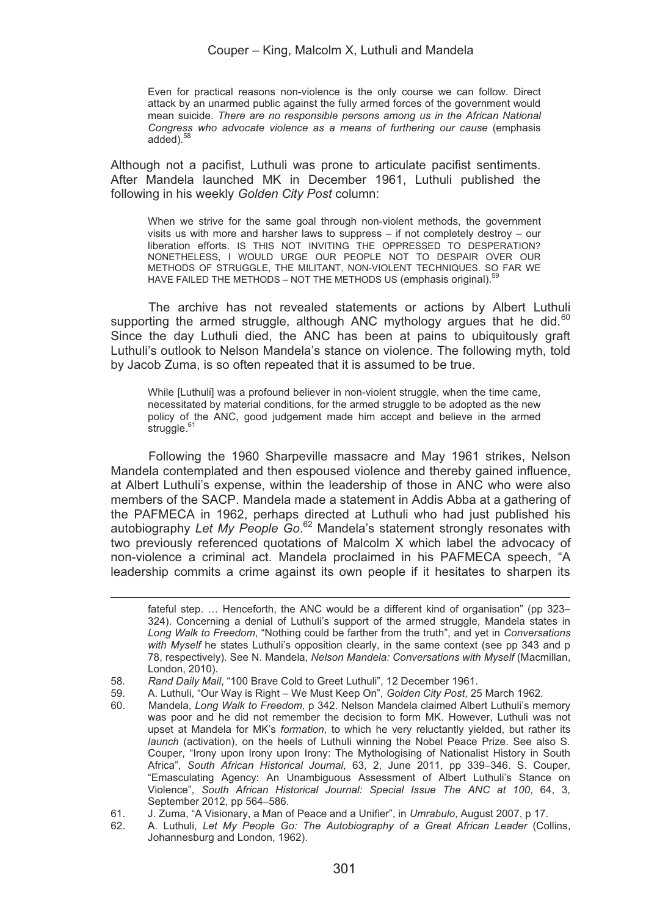Even for practical reasons non-violence is the only course we can follow. Direct attack by an unarmed public against the fully armed forces of the government would mean suicide. *There are no responsible persons among us in the African National Congress who advocate violence as a means of furthering our cause* (emphasis added)<sup>58</sup>

Although not a pacifist, Luthuli was prone to articulate pacifist sentiments. After Mandela launched MK in December 1961, Luthuli published the following in his weekly *Golden City Post* column:

When we strive for the same goal through non-violent methods, the government visits us with more and harsher laws to suppress – if not completely destroy – our liberation efforts. IS THIS NOT INVITING THE OPPRESSED TO DESPERATION? NONETHELESS, I WOULD URGE OUR PEOPLE NOT TO DESPAIR OVER OUR METHODS OF STRUGGLE, THE MILITANT, NON-VIOLENT TECHNIQUES. SO FAR WE HAVE FAILED THE METHODS – NOT THE METHODS US (emphasis original).<sup>59</sup>

The archive has not revealed statements or actions by Albert Luthuli supporting the armed struggle, although ANC mythology argues that he did. $60$ Since the day Luthuli died, the ANC has been at pains to ubiquitously graft Luthuli's outlook to Nelson Mandela's stance on violence. The following myth, told by Jacob Zuma, is so often repeated that it is assumed to be true.

While [Luthuli] was a profound believer in non-violent struggle, when the time came, necessitated by material conditions, for the armed struggle to be adopted as the new policy of the ANC, good judgement made him accept and believe in the armed  $struggle.<sup>6</sup>$ 

Following the 1960 Sharpeville massacre and May 1961 strikes, Nelson Mandela contemplated and then espoused violence and thereby gained influence, at Albert Luthuli's expense, within the leadership of those in ANC who were also members of the SACP. Mandela made a statement in Addis Abba at a gathering of the PAFMECA in 1962, perhaps directed at Luthuli who had just published his autobiography *Let My People Go*. 62 Mandela's statement strongly resonates with two previously referenced quotations of Malcolm X which label the advocacy of non-violence a criminal act. Mandela proclaimed in his PAFMECA speech, "A leadership commits a crime against its own people if it hesitates to sharpen its

<u> La componenta de la componenta de la componenta de la componenta de la componenta de la componenta de la comp</u>

fateful step. … Henceforth, the ANC would be a different kind of organisation" (pp 323– 324). Concerning a denial of Luthuli's support of the armed struggle, Mandela states in *Long Walk to Freedom*, "Nothing could be farther from the truth", and yet in *Conversations with Myself* he states Luthuli's opposition clearly, in the same context (see pp 343 and p 78, respectively). See N. Mandela, *Nelson Mandela: Conversations with Myself* (Macmillan, London, 2010).

<sup>58</sup>*. Rand Daily Mail*, "100 Brave Cold to Greet Luthuli", 12 December 1961.

<sup>59.</sup> A. Luthuli, "Our Way is Right – We Must Keep On", *Golden City Post*, 25 March 1962.

<sup>60.</sup> Mandela, *Long Walk to Freedom*, p 342. Nelson Mandela claimed Albert Luthuli's memory was poor and he did not remember the decision to form MK. However, Luthuli was not upset at Mandela for MK's *formation*, to which he very reluctantly yielded, but rather its *launch* (activation), on the heels of Luthuli winning the Nobel Peace Prize. See also S. Couper, "Irony upon Irony upon Irony: The Mythologising of Nationalist History in South Africa", *South African Historical Journal*, 63, 2, June 2011, pp 339–346. S. Couper, "Emasculating Agency: An Unambiguous Assessment of Albert Luthuli's Stance on Violence", *South African Historical Journal: Special Issue The ANC at 100*, 64, 3, September 2012, pp 564–586.

<sup>61.</sup> J. Zuma, "A Visionary, a Man of Peace and a Unifier", in *Umrabulo*, August 2007, p 17.

<sup>62.</sup> A. Luthuli, *Let My People Go: The Autobiography of a Great African Leader* (Collins, Johannesburg and London, 1962).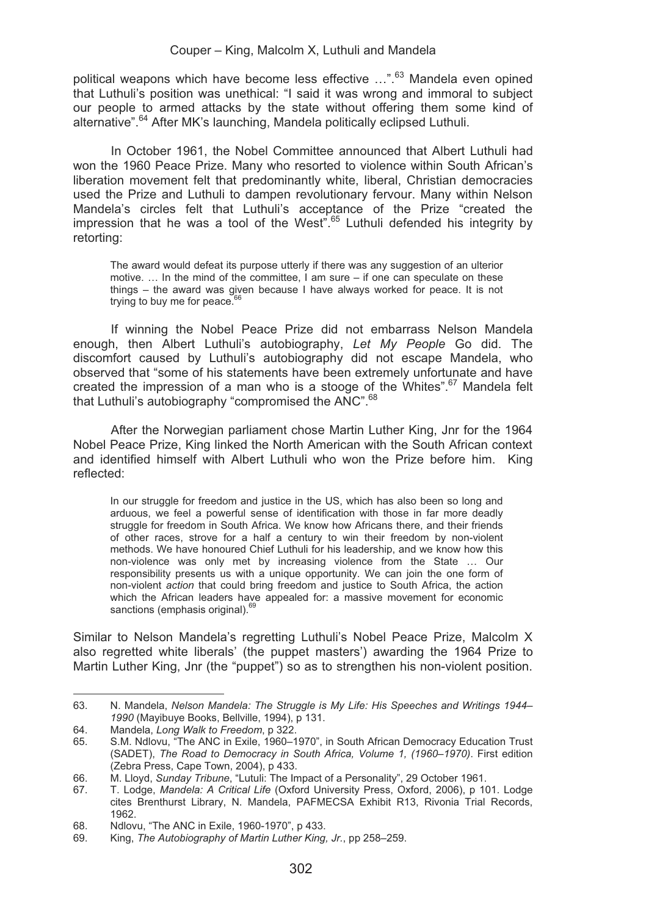political weapons which have become less effective ...".<sup>63</sup> Mandela even opined that Luthuli's position was unethical: "I said it was wrong and immoral to subject our people to armed attacks by the state without offering them some kind of alternative".64 After MK's launching, Mandela politically eclipsed Luthuli.

In October 1961, the Nobel Committee announced that Albert Luthuli had won the 1960 Peace Prize. Many who resorted to violence within South African's liberation movement felt that predominantly white, liberal, Christian democracies used the Prize and Luthuli to dampen revolutionary fervour. Many within Nelson Mandela's circles felt that Luthuli's acceptance of the Prize "created the impression that he was a tool of the West".65 Luthuli defended his integrity by retorting:

The award would defeat its purpose utterly if there was any suggestion of an ulterior motive. … In the mind of the committee, I am sure – if one can speculate on these things – the award was given because I have always worked for peace. It is not trying to buy me for peace. $6$ 

If winning the Nobel Peace Prize did not embarrass Nelson Mandela enough, then Albert Luthuli's autobiography, *Let My People* Go did. The discomfort caused by Luthuli's autobiography did not escape Mandela, who observed that "some of his statements have been extremely unfortunate and have created the impression of a man who is a stooge of the Whites".<sup>67</sup> Mandela felt that Luthuli's autobiography "compromised the ANC".<sup>68</sup>

After the Norwegian parliament chose Martin Luther King, Jnr for the 1964 Nobel Peace Prize, King linked the North American with the South African context and identified himself with Albert Luthuli who won the Prize before him. King reflected:

In our struggle for freedom and justice in the US, which has also been so long and arduous, we feel a powerful sense of identification with those in far more deadly struggle for freedom in South Africa. We know how Africans there, and their friends of other races, strove for a half a century to win their freedom by non-violent methods. We have honoured Chief Luthuli for his leadership, and we know how this non-violence was only met by increasing violence from the State … Our responsibility presents us with a unique opportunity. We can join the one form of non-violent *action* that could bring freedom and justice to South Africa, the action which the African leaders have appealed for: a massive movement for economic sanctions (emphasis original).<sup>69</sup>

Similar to Nelson Mandela's regretting Luthuli's Nobel Peace Prize, Malcolm X also regretted white liberals' (the puppet masters') awarding the 1964 Prize to Martin Luther King, Jnr (the "puppet") so as to strengthen his non-violent position.

<sup>63.</sup> N. Mandela, *Nelson Mandela: The Struggle is My Life: His Speeches and Writings 1944*– *1990* (Mayibuye Books, Bellville, 1994), p 131.

<sup>64.</sup> Mandela, *Long Walk to Freedom*, p 322.

<sup>65.</sup> S.M. Ndlovu, "The ANC in Exile, 1960–1970", in South African Democracy Education Trust (SADET), *The Road to Democracy in South Africa, Volume 1, (1960–1970)*. First edition (Zebra Press, Cape Town, 2004), p 433.

<sup>66.</sup> M. Lloyd, *Sunday Tribune*, "Lutuli: The Impact of a Personality", 29 October 1961.

<sup>67.</sup> T. Lodge, *Mandela: A Critical Life* (Oxford University Press, Oxford, 2006), p 101. Lodge cites Brenthurst Library, N. Mandela, PAFMECSA Exhibit R13, Rivonia Trial Records, 1962.

<sup>68.</sup> Ndlovu, "The ANC in Exile, 1960-1970", p 433.<br>69. King The Autobiography of Martin Luther King

<sup>69.</sup> King, *The Autobiography of Martin Luther King, Jr.*, pp 258–259.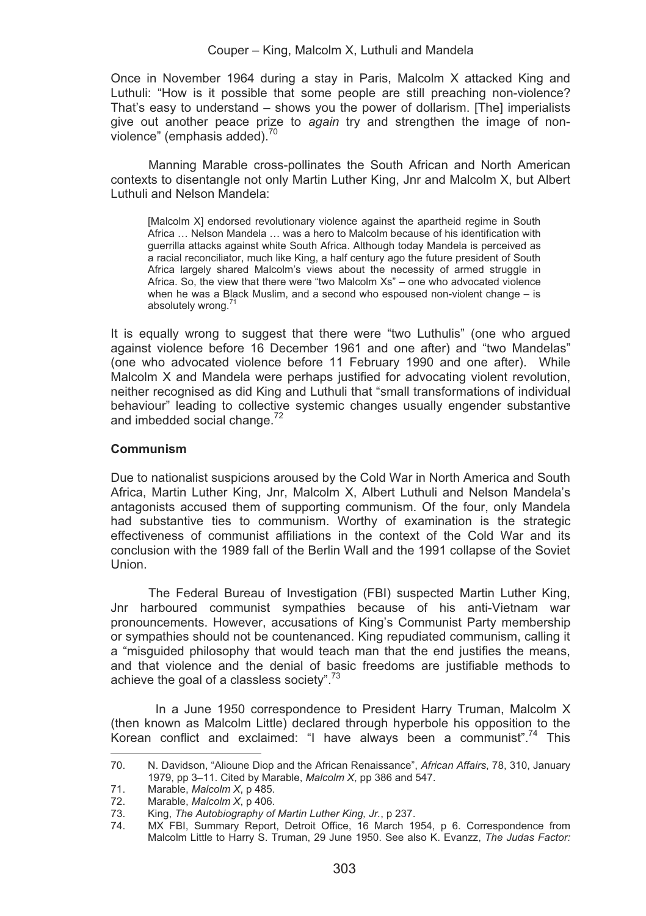Once in November 1964 during a stay in Paris, Malcolm X attacked King and Luthuli: "How is it possible that some people are still preaching non-violence? That's easy to understand – shows you the power of dollarism. [The] imperialists give out another peace prize to *again* try and strengthen the image of nonviolence" (emphasis added).<sup>70</sup>

Manning Marable cross-pollinates the South African and North American contexts to disentangle not only Martin Luther King, Jnr and Malcolm X, but Albert Luthuli and Nelson Mandela:

[Malcolm X] endorsed revolutionary violence against the apartheid regime in South Africa … Nelson Mandela … was a hero to Malcolm because of his identification with guerrilla attacks against white South Africa. Although today Mandela is perceived as a racial reconciliator, much like King, a half century ago the future president of South Africa largely shared Malcolm's views about the necessity of armed struggle in Africa. So, the view that there were "two Malcolm Xs" – one who advocated violence when he was a Black Muslim, and a second who espoused non-violent change – is absolutely wrong<sup>7</sup>

It is equally wrong to suggest that there were "two Luthulis" (one who argued against violence before 16 December 1961 and one after) and "two Mandelas" (one who advocated violence before 11 February 1990 and one after). While Malcolm X and Mandela were perhaps justified for advocating violent revolution, neither recognised as did King and Luthuli that "small transformations of individual behaviour" leading to collective systemic changes usually engender substantive and imbedded social change.<sup>72</sup>

## **Communism**

Due to nationalist suspicions aroused by the Cold War in North America and South Africa, Martin Luther King, Jnr, Malcolm X, Albert Luthuli and Nelson Mandela's antagonists accused them of supporting communism. Of the four, only Mandela had substantive ties to communism. Worthy of examination is the strategic effectiveness of communist affiliations in the context of the Cold War and its conclusion with the 1989 fall of the Berlin Wall and the 1991 collapse of the Soviet Union.

The Federal Bureau of Investigation (FBI) suspected Martin Luther King, Jnr harboured communist sympathies because of his anti-Vietnam war pronouncements. However, accusations of King's Communist Party membership or sympathies should not be countenanced. King repudiated communism, calling it a "misguided philosophy that would teach man that the end justifies the means, and that violence and the denial of basic freedoms are justifiable methods to achieve the goal of a classless society".<sup>73</sup>

 In a June 1950 correspondence to President Harry Truman, Malcolm X (then known as Malcolm Little) declared through hyperbole his opposition to the Korean conflict and exclaimed: "I have always been a communist".74 This

<u> Alexandria de la contexta de la contexta de la contexta de la contexta de la contexta de la contexta de la c</u>

<sup>70.</sup> N. Davidson, "Alioune Diop and the African Renaissance", *African Affairs*, 78, 310, January 1979, pp 3–11. Cited by Marable, *Malcolm X*, pp 386 and 547.

<sup>71.</sup> Marable, *Malcolm X*, p 485.

<sup>72.</sup> Marable, *Malcolm X*, p 406.

<sup>73.</sup> King, *The Autobiography of Martin Luther King, Jr.*, p 237.

MX FBI, Summary Report, Detroit Office, 16 March 1954, p 6. Correspondence from Malcolm Little to Harry S. Truman, 29 June 1950. See also K. Evanzz, *The Judas Factor:*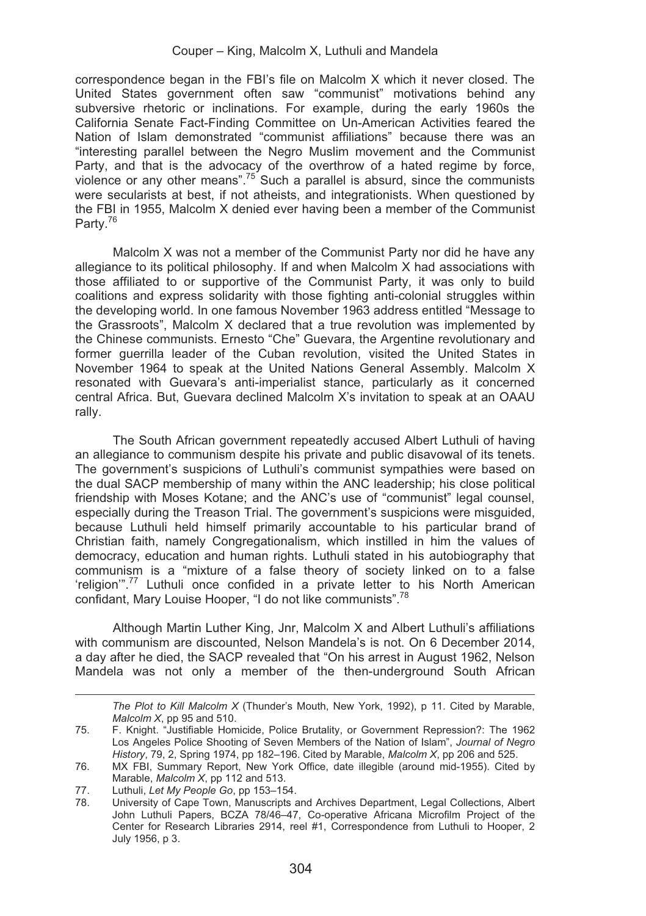correspondence began in the FBI's file on Malcolm X which it never closed. The United States government often saw "communist" motivations behind any subversive rhetoric or inclinations. For example, during the early 1960s the California Senate Fact-Finding Committee on Un-American Activities feared the Nation of Islam demonstrated "communist affiliations" because there was an "interesting parallel between the Negro Muslim movement and the Communist Party, and that is the advocacy of the overthrow of a hated regime by force, violence or any other means".<sup>75</sup> Such a parallel is absurd, since the communists were secularists at best, if not atheists, and integrationists. When questioned by the FBI in 1955, Malcolm X denied ever having been a member of the Communist Party.<sup>76</sup>

Malcolm X was not a member of the Communist Party nor did he have any allegiance to its political philosophy. If and when Malcolm X had associations with those affiliated to or supportive of the Communist Party, it was only to build coalitions and express solidarity with those fighting anti-colonial struggles within the developing world. In one famous November 1963 address entitled "Message to the Grassroots", Malcolm X declared that a true revolution was implemented by the Chinese communists. Ernesto "Che" Guevara, the Argentine revolutionary and former guerrilla leader of the Cuban revolution, visited the United States in November 1964 to speak at the United Nations General Assembly. Malcolm X resonated with Guevara's anti-imperialist stance, particularly as it concerned central Africa. But, Guevara declined Malcolm X's invitation to speak at an OAAU rally.

The South African government repeatedly accused Albert Luthuli of having an allegiance to communism despite his private and public disavowal of its tenets. The government's suspicions of Luthuli's communist sympathies were based on the dual SACP membership of many within the ANC leadership; his close political friendship with Moses Kotane; and the ANC's use of "communist" legal counsel, especially during the Treason Trial. The government's suspicions were misguided, because Luthuli held himself primarily accountable to his particular brand of Christian faith, namely Congregationalism, which instilled in him the values of democracy, education and human rights. Luthuli stated in his autobiography that communism is a "mixture of a false theory of society linked on to a false 'religion'".77 Luthuli once confided in a private letter to his North American confidant, Mary Louise Hooper, "I do not like communists".<sup>78</sup>

Although Martin Luther King, Jnr, Malcolm X and Albert Luthuli's affiliations with communism are discounted, Nelson Mandela's is not. On 6 December 2014, a day after he died, the SACP revealed that "On his arrest in August 1962, Nelson Mandela was not only a member of the then-underground South African

 *The Plot to Kill Malcolm X* (Thunder's Mouth, New York, 1992), p 11. Cited by Marable, *Malcolm X*, pp 95 and 510.

<sup>75.</sup> F. Knight. "Justifiable Homicide, Police Brutality, or Government Repression?: The 1962 Los Angeles Police Shooting of Seven Members of the Nation of Islam", *Journal of Negro History*, 79, 2, Spring 1974, pp 182–196. Cited by Marable, *Malcolm X*, pp 206 and 525.

<sup>76.</sup> MX FBI, Summary Report, New York Office, date illegible (around mid-1955). Cited by Marable, *Malcolm X*, pp 112 and 513.

<sup>77.</sup> Luthuli, *Let My People Go*, pp 153–154.

<sup>78.</sup> University of Cape Town, Manuscripts and Archives Department, Legal Collections, Albert John Luthuli Papers, BCZA 78/46–47, Co-operative Africana Microfilm Project of the Center for Research Libraries 2914, reel #1, Correspondence from Luthuli to Hooper, 2 July 1956, p 3.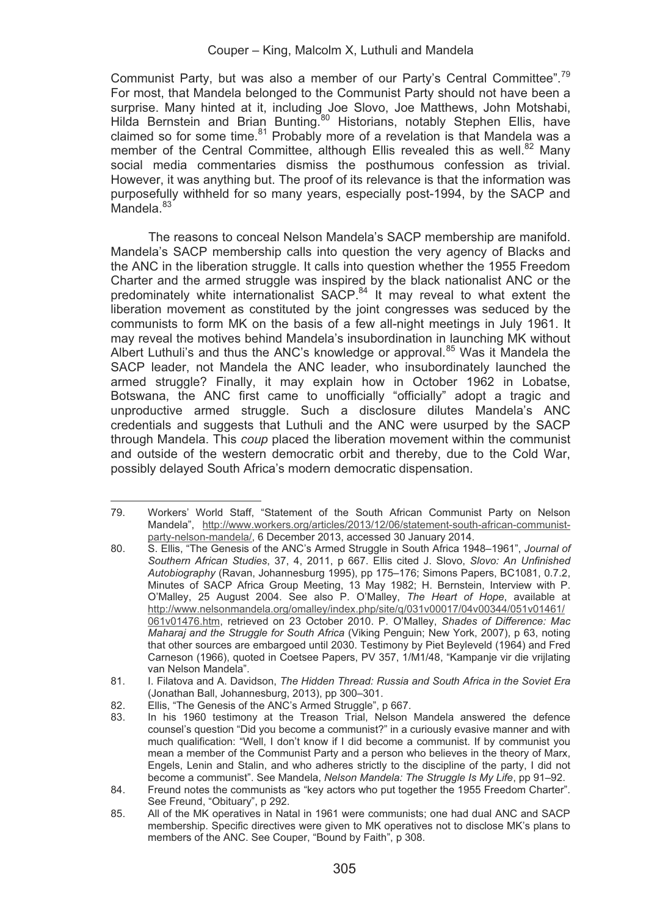Communist Party, but was also a member of our Party's Central Committee".79 For most, that Mandela belonged to the Communist Party should not have been a surprise. Many hinted at it, including Joe Slovo, Joe Matthews, John Motshabi, Hilda Bernstein and Brian Bunting.<sup>80</sup> Historians, notably Stephen Ellis, have claimed so for some time. $81$  Probably more of a revelation is that Mandela was a member of the Central Committee, although Ellis revealed this as well.<sup>82</sup> Many social media commentaries dismiss the posthumous confession as trivial. However, it was anything but. The proof of its relevance is that the information was purposefully withheld for so many years, especially post-1994, by the SACP and Mandela<sup>83</sup>

The reasons to conceal Nelson Mandela's SACP membership are manifold. Mandela's SACP membership calls into question the very agency of Blacks and the ANC in the liberation struggle. It calls into question whether the 1955 Freedom Charter and the armed struggle was inspired by the black nationalist ANC or the predominately white internationalist  $SACP<sup>84</sup>$  It may reveal to what extent the liberation movement as constituted by the joint congresses was seduced by the communists to form MK on the basis of a few all-night meetings in July 1961. It may reveal the motives behind Mandela's insubordination in launching MK without Albert Luthuli's and thus the ANC's knowledge or approval.<sup>85</sup> Was it Mandela the SACP leader, not Mandela the ANC leader, who insubordinately launched the armed struggle? Finally, it may explain how in October 1962 in Lobatse, Botswana, the ANC first came to unofficially "officially" adopt a tragic and unproductive armed struggle. Such a disclosure dilutes Mandela's ANC credentials and suggests that Luthuli and the ANC were usurped by the SACP through Mandela. This *coup* placed the liberation movement within the communist and outside of the western democratic orbit and thereby, due to the Cold War, possibly delayed South Africa's modern democratic dispensation.

<sup>&</sup>lt;u> Alexandria de la contexta de la contexta de la contexta de la contexta de la contexta de la contexta de la c</u> 79. Workers' World Staff, "Statement of the South African Communist Party on Nelson Mandela", http://www.workers.org/articles/2013/12/06/statement-south-african-communistparty-nelson-mandela/, 6 December 2013, accessed 30 January 2014.

<sup>80.</sup> S. Ellis, "The Genesis of the ANC's Armed Struggle in South Africa 1948–1961", *Journal of Southern African Studies*, 37, 4, 2011, p 667. Ellis cited J. Slovo, *Slovo: An Unfinished Autobiography* (Ravan, Johannesburg 1995), pp 175–176; Simons Papers, BC1081, 0.7.2, Minutes of SACP Africa Group Meeting, 13 May 1982; H. Bernstein, Interview with P. O'Malley, 25 August 2004. See also P. O'Malley, *The Heart of Hope*, available at http://www.nelsonmandela.org/omalley/index.php/site/q/031v00017/04v00344/051v01461/ 061v01476.htm, retrieved on 23 October 2010. P. O'Malley, *Shades of Difference: Mac Maharaj and the Struggle for South Africa* (Viking Penguin; New York, 2007), p 63, noting that other sources are embargoed until 2030. Testimony by Piet Beyleveld (1964) and Fred Carneson (1966), quoted in Coetsee Papers, PV 357, 1/M1/48, "Kampanje vir die vrijlating van Nelson Mandela".

<sup>81.</sup> I. Filatova and A. Davidson, *The Hidden Thread: Russia and South Africa in the Soviet Era* (Jonathan Ball, Johannesburg, 2013), pp 300–301.

<sup>82.</sup> Ellis, "The Genesis of the ANC's Armed Struggle", p 667.<br>83. In his 1960 testimony at the Treason Trial. Nelson

In his 1960 testimony at the Treason Trial, Nelson Mandela answered the defence counsel's question "Did you become a communist?" in a curiously evasive manner and with much qualification: "Well, I don't know if I did become a communist. If by communist you mean a member of the Communist Party and a person who believes in the theory of Marx, Engels, Lenin and Stalin, and who adheres strictly to the discipline of the party, I did not become a communist". See Mandela, *Nelson Mandela: The Struggle Is My Life*, pp 91–92.

<sup>84.</sup> Freund notes the communists as "key actors who put together the 1955 Freedom Charter". See Freund, "Obituary", p 292.

<sup>85.</sup> All of the MK operatives in Natal in 1961 were communists; one had dual ANC and SACP membership. Specific directives were given to MK operatives not to disclose MK's plans to members of the ANC. See Couper, "Bound by Faith", p 308.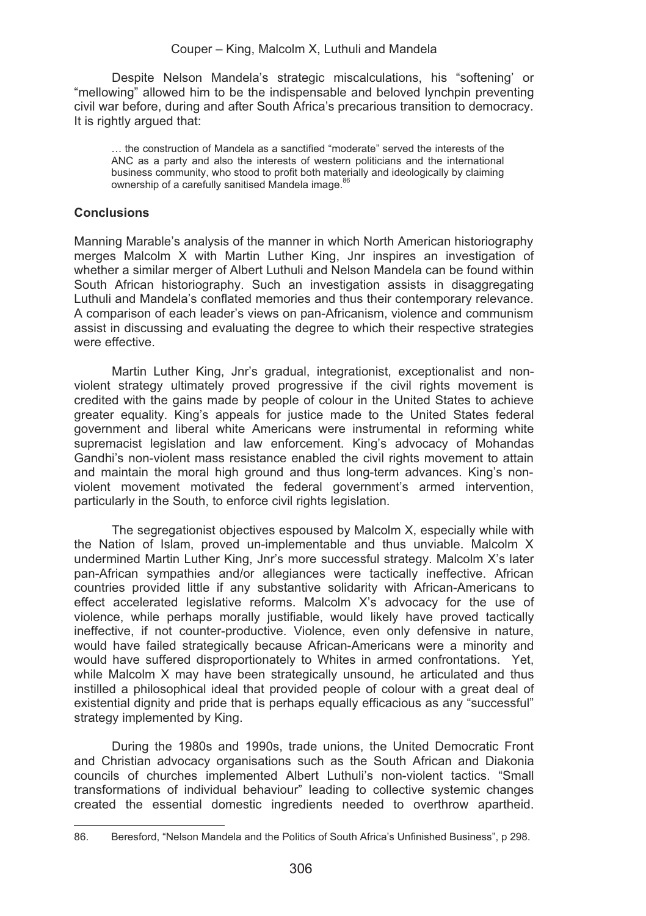Despite Nelson Mandela's strategic miscalculations, his "softening' or "mellowing" allowed him to be the indispensable and beloved lynchpin preventing civil war before, during and after South Africa's precarious transition to democracy. It is rightly argued that:

… the construction of Mandela as a sanctified "moderate" served the interests of the ANC as a party and also the interests of western politicians and the international business community, who stood to profit both materially and ideologically by claiming ownership of a carefully sanitised Mandela image.<sup>86</sup>

# **Conclusions**

Manning Marable's analysis of the manner in which North American historiography merges Malcolm X with Martin Luther King, Jnr inspires an investigation of whether a similar merger of Albert Luthuli and Nelson Mandela can be found within South African historiography. Such an investigation assists in disaggregating Luthuli and Mandela's conflated memories and thus their contemporary relevance. A comparison of each leader's views on pan-Africanism, violence and communism assist in discussing and evaluating the degree to which their respective strategies were effective.

Martin Luther King, Jnr's gradual, integrationist, exceptionalist and nonviolent strategy ultimately proved progressive if the civil rights movement is credited with the gains made by people of colour in the United States to achieve greater equality. King's appeals for justice made to the United States federal government and liberal white Americans were instrumental in reforming white supremacist legislation and law enforcement. King's advocacy of Mohandas Gandhi's non-violent mass resistance enabled the civil rights movement to attain and maintain the moral high ground and thus long-term advances. King's nonviolent movement motivated the federal government's armed intervention, particularly in the South, to enforce civil rights legislation.

The segregationist objectives espoused by Malcolm X, especially while with the Nation of Islam, proved un-implementable and thus unviable. Malcolm X undermined Martin Luther King, Jnr's more successful strategy. Malcolm X's later pan-African sympathies and/or allegiances were tactically ineffective. African countries provided little if any substantive solidarity with African-Americans to effect accelerated legislative reforms. Malcolm X's advocacy for the use of violence, while perhaps morally justifiable, would likely have proved tactically ineffective, if not counter-productive. Violence, even only defensive in nature, would have failed strategically because African-Americans were a minority and would have suffered disproportionately to Whites in armed confrontations. Yet, while Malcolm X may have been strategically unsound, he articulated and thus instilled a philosophical ideal that provided people of colour with a great deal of existential dignity and pride that is perhaps equally efficacious as any "successful" strategy implemented by King.

During the 1980s and 1990s, trade unions, the United Democratic Front and Christian advocacy organisations such as the South African and Diakonia councils of churches implemented Albert Luthuli's non-violent tactics. "Small transformations of individual behaviour" leading to collective systemic changes created the essential domestic ingredients needed to overthrow apartheid.

<sup>86.</sup> Beresford, "Nelson Mandela and the Politics of South Africa's Unfinished Business", p 298.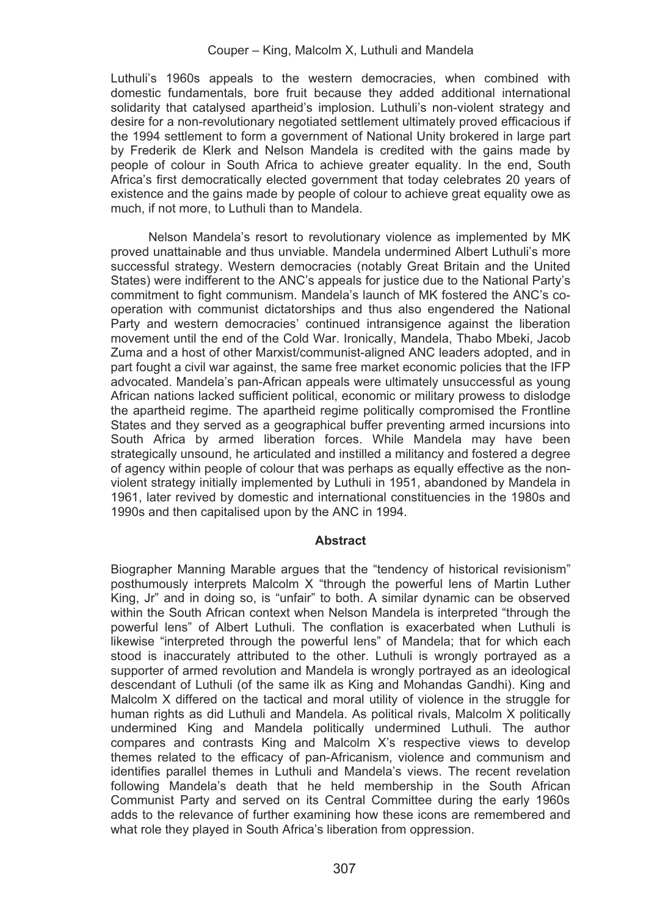Luthuli's 1960s appeals to the western democracies, when combined with domestic fundamentals, bore fruit because they added additional international solidarity that catalysed apartheid's implosion. Luthuli's non-violent strategy and desire for a non-revolutionary negotiated settlement ultimately proved efficacious if the 1994 settlement to form a government of National Unity brokered in large part by Frederik de Klerk and Nelson Mandela is credited with the gains made by people of colour in South Africa to achieve greater equality. In the end, South Africa's first democratically elected government that today celebrates 20 years of existence and the gains made by people of colour to achieve great equality owe as much, if not more, to Luthuli than to Mandela.

Nelson Mandela's resort to revolutionary violence as implemented by MK proved unattainable and thus unviable. Mandela undermined Albert Luthuli's more successful strategy. Western democracies (notably Great Britain and the United States) were indifferent to the ANC's appeals for justice due to the National Party's commitment to fight communism. Mandela's launch of MK fostered the ANC's cooperation with communist dictatorships and thus also engendered the National Party and western democracies' continued intransigence against the liberation movement until the end of the Cold War. Ironically, Mandela, Thabo Mbeki, Jacob Zuma and a host of other Marxist/communist-aligned ANC leaders adopted, and in part fought a civil war against, the same free market economic policies that the IFP advocated. Mandela's pan-African appeals were ultimately unsuccessful as young African nations lacked sufficient political, economic or military prowess to dislodge the apartheid regime. The apartheid regime politically compromised the Frontline States and they served as a geographical buffer preventing armed incursions into South Africa by armed liberation forces. While Mandela may have been strategically unsound, he articulated and instilled a militancy and fostered a degree of agency within people of colour that was perhaps as equally effective as the nonviolent strategy initially implemented by Luthuli in 1951, abandoned by Mandela in 1961, later revived by domestic and international constituencies in the 1980s and 1990s and then capitalised upon by the ANC in 1994.

# **Abstract**

Biographer Manning Marable argues that the "tendency of historical revisionism" posthumously interprets Malcolm X "through the powerful lens of Martin Luther King, Jr" and in doing so, is "unfair" to both. A similar dynamic can be observed within the South African context when Nelson Mandela is interpreted "through the powerful lens" of Albert Luthuli. The conflation is exacerbated when Luthuli is likewise "interpreted through the powerful lens" of Mandela; that for which each stood is inaccurately attributed to the other. Luthuli is wrongly portrayed as a supporter of armed revolution and Mandela is wrongly portrayed as an ideological descendant of Luthuli (of the same ilk as King and Mohandas Gandhi). King and Malcolm X differed on the tactical and moral utility of violence in the struggle for human rights as did Luthuli and Mandela. As political rivals, Malcolm X politically undermined King and Mandela politically undermined Luthuli. The author compares and contrasts King and Malcolm X's respective views to develop themes related to the efficacy of pan-Africanism, violence and communism and identifies parallel themes in Luthuli and Mandela's views. The recent revelation following Mandela's death that he held membership in the South African Communist Party and served on its Central Committee during the early 1960s adds to the relevance of further examining how these icons are remembered and what role they played in South Africa's liberation from oppression.